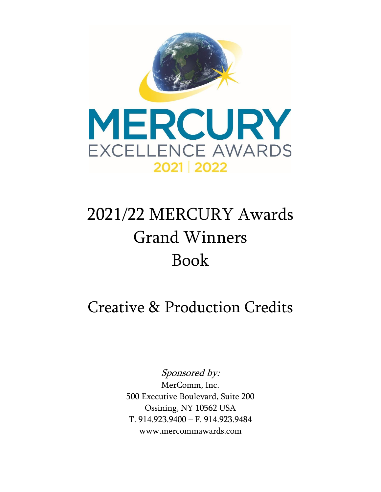

## 2021/22 MERCURY Awards Grand Winners Book

Creative & Production Credits

Sponsored by:

MerComm, Inc. 500 Executive Boulevard, Suite 200 Ossining, NY 10562 USA T. 914.923.9400 – F. 914.923.9484 www.mercommawards.com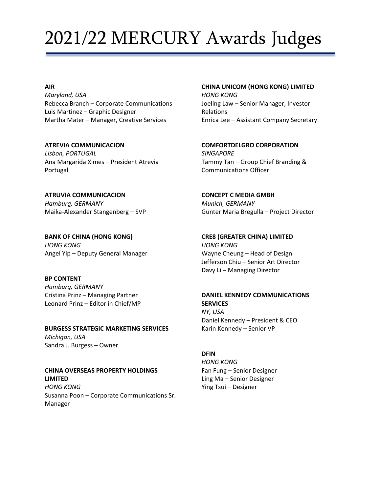## 2021/22 MERCURY Awards Judges

### **AIR**

*Maryland, USA* Rebecca Branch – Corporate Communications Luis Martinez – Graphic Designer Martha Mater – Manager, Creative Services

**ATREVIA COMMUNICACION** *Lisbon, PORTUGAL* Ana Margarida Ximes – President Atrevia Portugal

**ATRUVIA COMMUNICACION** *Hamburg, GERMANY* Maika-Alexander Stangenberg – SVP

**BANK OF CHINA (HONG KONG)** *HONG KONG* Angel Yip – Deputy General Manager

**BP CONTENT** *Hamburg, GERMANY* Cristina Prinz – Managing Partner Leonard Prinz – Editor in Chief/MP

**BURGESS STRATEGIC MARKETING SERVICES** *Michigan, USA* Sandra J. Burgess – Owner

**CHINA OVERSEAS PROPERTY HOLDINGS LIMITED** *HONG KONG* Susanna Poon – Corporate Communications Sr. Manager

#### **CHINA UNICOM (HONG KONG) LIMITED**

*HONG KONG* Joeling Law – Senior Manager, Investor Relations Enrica Lee – Assistant Company Secretary

**COMFORTDELGRO CORPORATION** *SINGAPORE* Tammy Tan – Group Chief Branding & Communications Officer

**CONCEPT C MEDIA GMBH** *Munich, GERMANY* Gunter Maria Bregulla – Project Director

**CRE8 (GREATER CHINA) LIMITED** *HONG KONG* Wayne Cheung – Head of Design Jefferson Chiu – Senior Art Director Davy Li – Managing Director

### **DANIEL KENNEDY COMMUNICATIONS SERVICES** *NY, USA*

Daniel Kennedy – President & CEO Karin Kennedy – Senior VP

### **DFIN**

*HONG KONG* Fan Fung – Senior Designer Ling Ma – Senior Designer Ying Tsui – Designer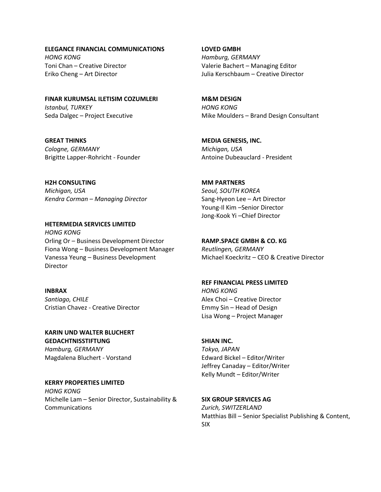**ELEGANCE FINANCIAL COMMUNICATIONS** *HONG KONG* Toni Chan – Creative Director Eriko Cheng – Art Director

**FINAR KURUMSAL ILETISIM COZUMLERI** *Istanbul, TURKEY* Seda Dalgec – Project Executive

**GREAT THINKS** *Cologne, GERMANY* Brigitte Lapper-Rohricht - Founder

**H2H CONSULTING**  *Michigan, USA Kendra Corman – Managing Director*

**HETERMEDIA SERVICES LIMITED** *HONG KONG* Orling Or – Business Development Director Fiona Wong – Business Development Manager Vanessa Yeung – Business Development Director

### **INBRAX** *Santiago, CHILE* Cristian Chavez - Creative Director

**KARIN UND WALTER BLUCHERT** 

**GEDACHTNISSTIFTUNG** *Hamburg, GERMANY* Magdalena Bluchert - Vorstand

### **KERRY PROPERTIES LIMITED**

*HONG KONG* Michelle Lam – Senior Director, Sustainability & Communications

**LOVED GMBH** *Hamburg, GERMANY* Valerie Bachert – Managing Editor Julia Kerschbaum – Creative Director

**M&M DESIGN** *HONG KONG* Mike Moulders – Brand Design Consultant

**MEDIA GENESIS, INC.**  *Michigan, USA* Antoine Dubeauclard - President

### **MM PARTNERS**

*Seoul, SOUTH KOREA* Sang-Hyeon Lee – Art Director Young-Il Kim –Senior Director Jong-Kook Yi –Chief Director

**RAMP.SPACE GMBH & CO. KG**

*Reutlingen, GERMANY* Michael Koeckritz – CEO & Creative Director

#### **REF FINANCIAL PRESS LIMITED**

*HONG KONG* Alex Choi – Creative Director Emmy Sin – Head of Design Lisa Wong – Project Manager

### **SHIAN INC.**

*Tokyo, JAPAN* Edward Bickel – Editor/Writer Jeffrey Canaday – Editor/Writer Kelly Mundt – Editor/Writer

**SIX GROUP SERVICES AG** *Zurich, SWITZERLAND* Matthias Bill – Senior Specialist Publishing & Content, SIX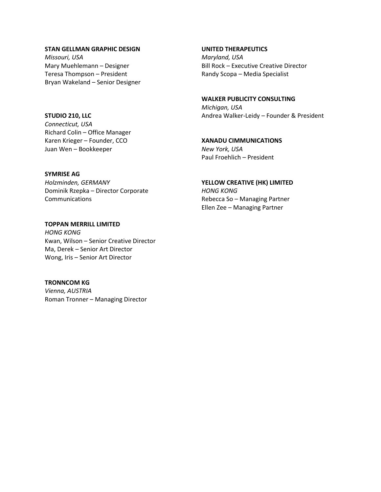#### **STAN GELLMAN GRAPHIC DESIGN**

*Missouri, USA* Mary Muehlemann – Designer Teresa Thompson – President Bryan Wakeland – Senior Designer

#### **STUDIO 210, LLC**

*Connecticut, USA* Richard Colin – Office Manager Karen Krieger – Founder, CCO Juan Wen – Bookkeeper

#### **SYMRISE AG**

*Holzminden, GERMANY* Dominik Rzepka – Director Corporate Communications

**TOPPAN MERRILL LIMITED** *HONG KONG* Kwan, Wilson – Senior Creative Director Ma, Derek – Senior Art Director Wong, Iris – Senior Art Director

**TRONNCOM KG** *Vienna, AUSTRIA* Roman Tronner – Managing Director

#### **UNITED THERAPEUTICS**

*Maryland, USA* Bill Rock – Executive Creative Director Randy Scopa – Media Specialist

### **WALKER PUBLICITY CONSULTING**

*Michigan, USA* Andrea Walker-Leidy – Founder & President

### **XANADU CIMMUNICATIONS**

*New York, USA* Paul Froehlich – President

#### **YELLOW CREATIVE (HK) LIMITED** *HONG KONG*

Rebecca So – Managing Partner Ellen Zee – Managing Partner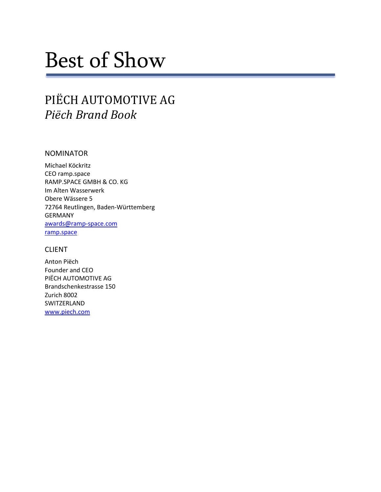# Best of Show

## PIËCH AUTOMOTIVE AG *Piëch Brand Book*

### NOMINATOR

Michael Köckritz CEO ramp.space RAMP.SPACE GMBH & CO. KG Im Alten Wasserwerk Obere Wässere 5 72764 Reutlingen, Baden-Württemberg GERMANY [awards@ramp-space.com](mailto:awards@ramp-space.com) [ramp.space](https://ramp.space/)

### CLIENT

Anton Piëch Founder and CEO PIËCH AUTOMOTIVE AG Brandschenkestrasse 150 Zurich 8002 SWITZERLAND [www.piech.com](http://www.piech.com/)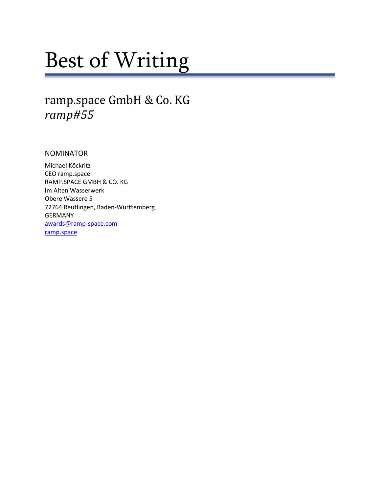# Best of Writing

### ramp.space GmbH & Co. KG *ramp#55*

NOMINATOR

Michael Köckritz CEO ramp.space RAMP.SPACE GMBH & CO. KG Im Alten Wasserwerk Obere Wässere 5 72764 Reutlingen, Baden-Württemberg GERMANY [awards@ramp-space.com](mailto:awards@ramp-space.com) [ramp.space](https://ramp.space/)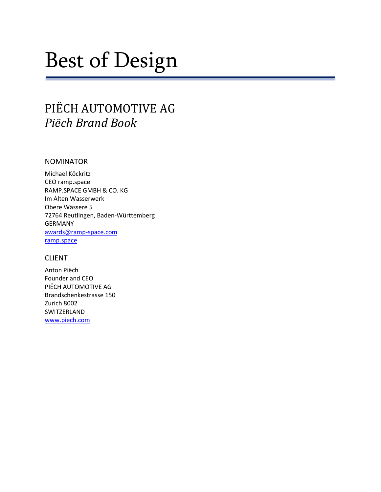# Best of Design

## PIËCH AUTOMOTIVE AG *Piëch Brand Book*

### NOMINATOR

Michael Köckritz CEO ramp.space RAMP.SPACE GMBH & CO. KG Im Alten Wasserwerk Obere Wässere 5 72764 Reutlingen, Baden-Württemberg GERMANY [awards@ramp-space.com](mailto:awards@ramp-space.com) [ramp.space](https://ramp.space/)

### **CLIENT**

Anton Piëch Founder and CEO PIËCH AUTOMOTIVE AG Brandschenkestrasse 150 Zurich 8002 SWITZERLAND [www.piech.com](http://www.piech.com/)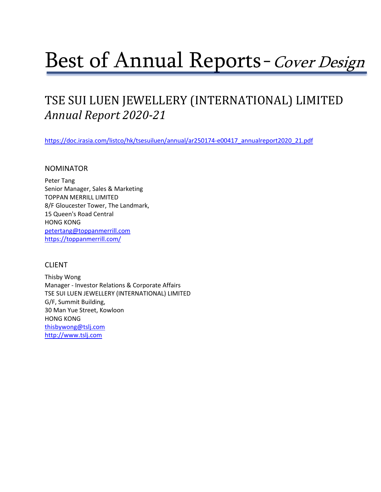# Best of Annual Reports-Cover Design

## TSE SUI LUEN JEWELLERY (INTERNATIONAL) LIMITED *Annual Report 2020-21*

[https://doc.irasia.com/listco/hk/tsesuiluen/annual/ar250174-e00417\\_annualreport2020\\_21.pdf](https://doc.irasia.com/listco/hk/tsesuiluen/annual/ar250174-e00417_annualreport2020_21.pdf)

### NOMINATOR

Peter Tang Senior Manager, Sales & Marketing TOPPAN MERRILL LIMITED 8/F Gloucester Tower, The Landmark, 15 Queen's Road Central HONG KONG [petertang@toppanmerrill.com](mailto:petertang@toppanmerrill.com) <https://toppanmerrill.com/>

### CLIENT

Thisby Wong Manager - Investor Relations & Corporate Affairs TSE SUI LUEN JEWELLERY (INTERNATIONAL) LIMITED G/F, Summit Building, 30 Man Yue Street, Kowloon HONG KONG [thisbywong@tslj.com](mailto:thisbywong@tslj.com) [http://www.tslj.com](http://www.tslj.com/)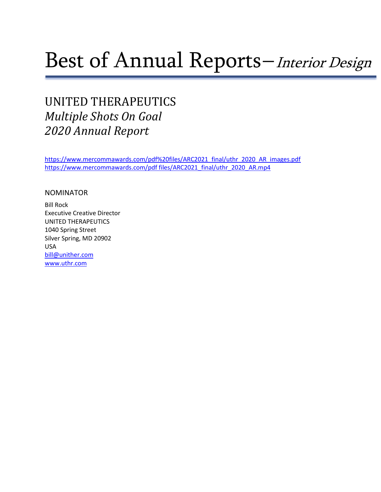## Best of Annual Reports-Interior Design

## UNITED THERAPEUTICS *Multiple Shots On Goal 2020 Annual Report*

[https://www.mercommawards.com/pdf%20files/ARC2021\\_final/uthr\\_2020\\_AR\\_images.pdf](https://www.mercommawards.com/pdf%20files/ARC2021_final/uthr_2020_AR_images.pdf) [https://www.mercommawards.com/pdf files/ARC2021\\_final/uthr\\_2020\\_AR.mp4](https://www.mercommawards.com/pdf%20files/ARC2021_final/uthr_2020_AR.mp4)

### NOMINATOR

Bill Rock Executive Creative Director UNITED THERAPEUTICS 1040 Spring Street Silver Spring, MD 20902 USA [bill@unither.com](mailto:bill@unither.com) [www.uthr.com](http://www.uthr.com/)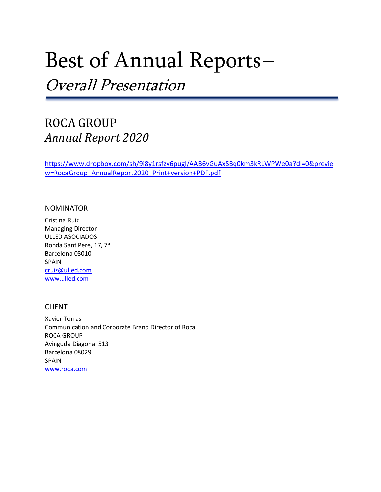## Best of Annual Reports–

Overall Presentation

### ROCA GROUP *Annual Report 2020*

[https://www.dropbox.com/sh/9i8y1rsfzy6pugl/AAB6vGuAxSBq0km3kRLWPWe0a?dl=0&previe](https://www.dropbox.com/sh/9i8y1rsfzy6pugl/AAB6vGuAxSBq0km3kRLWPWe0a?dl=0&preview=RocaGroup_AnnualReport2020_Print+version+PDF.pdf) [w=RocaGroup\\_AnnualReport2020\\_Print+version+PDF.pdf](https://www.dropbox.com/sh/9i8y1rsfzy6pugl/AAB6vGuAxSBq0km3kRLWPWe0a?dl=0&preview=RocaGroup_AnnualReport2020_Print+version+PDF.pdf)

### NOMINATOR

Cristina Ruiz Managing Director ULLED ASOCIADOS Ronda Sant Pere, 17, 7ª Barcelona 08010 SPAIN [cruiz@ulled.com](mailto:cruiz@ulled.com) [www.ulled.com](http://www.ulled.com/)

### CLIENT

Xavier Torras Communication and Corporate Brand Director of Roca ROCA GROUP Avinguda Diagonal 513 Barcelona 08029 SPAIN [www.roca.com](http://www.roca.com/)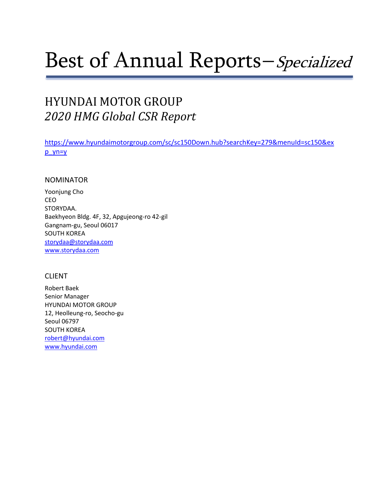# Best of Annual Reports–Specialized

## HYUNDAI MOTOR GROUP *2020 HMG Global CSR Report*

[https://www.hyundaimotorgroup.com/sc/sc150Down.hub?searchKey=279&menuId=sc150&ex](https://www.hyundaimotorgroup.com/sc/sc150Down.hub?searchKey=279&menuId=sc150&exp_yn=y) [p\\_yn=y](https://www.hyundaimotorgroup.com/sc/sc150Down.hub?searchKey=279&menuId=sc150&exp_yn=y)

### NOMINATOR

Yoonjung Cho CEO STORYDAA. Baekhyeon Bldg. 4F, 32, Apgujeong-ro 42-gil Gangnam-gu, Seoul 06017 SOUTH KOREA [storydaa@storydaa.com](mailto:storydaa@storydaa.com) [www.storydaa.com](http://www.storydaa.com/)

### CLIENT

Robert Baek Senior Manager HYUNDAI MOTOR GROUP 12, Heolleung-ro, Seocho-gu Seoul 06797 SOUTH KOREA [robert@hyundai.com](mailto:robert@hyundai.com) [www.hyundai.com](http://www.hyundai.com/)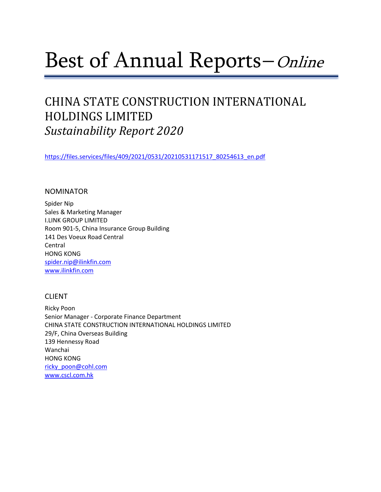## Best of Annual Reports–*Online*

## CHINA STATE CONSTRUCTION INTERNATIONAL HOLDINGS LIMITED *Sustainability Report 2020*

[https://files.services/files/409/2021/0531/20210531171517\\_80254613\\_en.pdf](https://files.services/files/409/2021/0531/20210531171517_80254613_en.pdf)

### NOMINATOR

Spider Nip Sales & Marketing Manager I.LINK GROUP LIMITED Room 901-5, China Insurance Group Building 141 Des Voeux Road Central Central HONG KONG [spider.nip@ilinkfin.com](mailto:spider.nip@ilinkfin.com) [www.ilinkfin.com](http://www.ilinkfin.com/)

### CLIENT

Ricky Poon Senior Manager - Corporate Finance Department CHINA STATE CONSTRUCTION INTERNATIONAL HOLDINGS LIMITED 29/F, China Overseas Building 139 Hennessy Road Wanchai HONG KONG [ricky\\_poon@cohl.com](mailto:ricky_poon@cohl.com) [www.cscl.com.hk](http://www.cscl.com.hk/)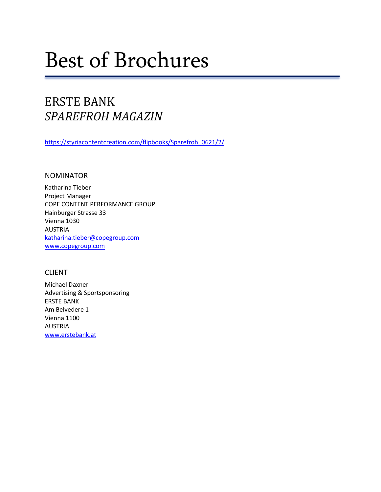# Best of Brochures

## ERSTE BANK *SPAREFROH MAGAZIN*

[https://styriacontentcreation.com/flipbooks/Sparefroh\\_0621/2/](https://styriacontentcreation.com/flipbooks/Sparefroh_0621/2/)

### NOMINATOR

Katharina Tieber Project Manager COPE CONTENT PERFORMANCE GROUP Hainburger Strasse 33 Vienna 1030 AUSTRIA [katharina.tieber@copegroup.com](mailto:katharina.tieber@copegroup.com) [www.copegroup.com](http://www.copegroup.com/)

### CLIENT

Michael Daxner Advertising & Sportsponsoring ERSTE BANK Am Belvedere 1 Vienna 1100 AUSTRIA [www.erstebank.at](http://www.erstebank.at/)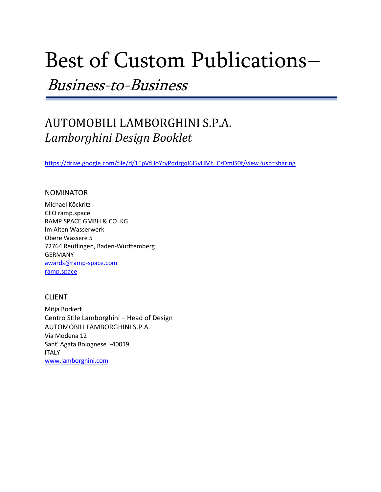## Best of Custom Publications–

Business-to-Business

## AUTOMOBILI LAMBORGHINI S.P.A. *Lamborghini Design Booklet*

[https://drive.google.com/file/d/1EpVfHoYryPddrgql6l5vHMt\\_CzDmIS0t/view?usp=sharing](https://drive.google.com/file/d/1EpVfHoYryPddrgql6l5vHMt_CzDmIS0t/view?usp=sharing)

### NOMINATOR

Michael Köckritz CEO ramp.space RAMP.SPACE GMBH & CO. KG Im Alten Wasserwerk Obere Wässere 5 72764 Reutlingen, Baden-Württemberg GERMANY [awards@ramp-space.com](mailto:awards@ramp-space.com) [ramp.space](https://ramp.space/)

### CLIENT

Mitja Borkert Centro Stile Lamborghini – Head of Design AUTOMOBILI LAMBORGHINI S.P.A. Via Modena 12 Sant' Agata Bolognese I-40019 ITALY [www.lamborghini.com](http://www.lamborghini.com/)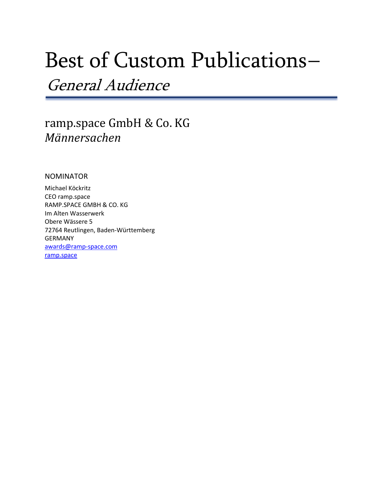## Best of Custom Publications–

General Audience

### ramp.space GmbH & Co. KG *Männersachen*

### NOMINATOR

Michael Köckritz CEO ramp.space RAMP.SPACE GMBH & CO. KG Im Alten Wasserwerk Obere Wässere 5 72764 Reutlingen, Baden-Württemberg GERMANY [awards@ramp-space.com](mailto:awards@ramp-space.com) [ramp.space](https://ramp.space/)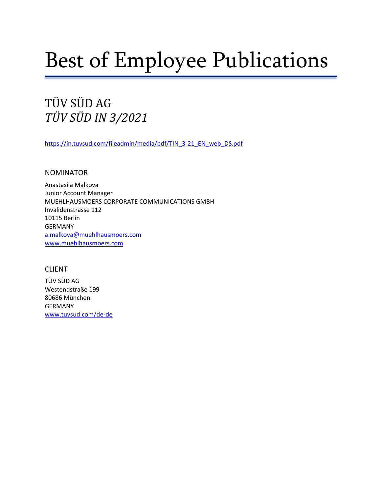# Best of Employee Publications

TÜV SÜD AG *TÜV SÜD IN 3/2021*

[https://in.tuvsud.com/fileadmin/media/pdf/TIN\\_3-21\\_EN\\_web\\_DS.pdf](https://in.tuvsud.com/fileadmin/media/pdf/TIN_3-21_EN_web_DS.pdf)

NOMINATOR

Anastasiia Malkova Junior Account Manager MUEHLHAUSMOERS CORPORATE COMMUNICATIONS GMBH Invalidenstrasse 112 10115 Berlin GERMANY [a.malkova@muehlhausmoers.com](mailto:a.malkova@muehlhausmoers.com) [www.muehlhausmoers.com](http://www.muehlhausmoers.com/)

### CLIENT

TÜV SÜD AG Westendstraße 199 80686 München GERMANY [www.tuvsud.com/de-de](http://www.tuvsud.com/de-de)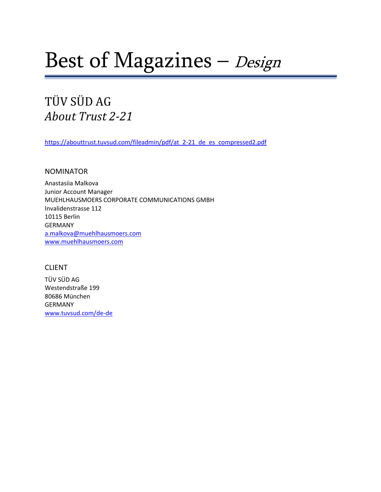# Best of Magazines – Design

## TÜV SÜD AG *About Trust 2-21*

[https://abouttrust.tuvsud.com/fileadmin/pdf/at\\_2-21\\_de\\_es\\_compressed2.pdf](https://abouttrust.tuvsud.com/fileadmin/pdf/at_2-21_de_es_compressed2.pdf)

### NOMINATOR

Anastasiia Malkova Junior Account Manager MUEHLHAUSMOERS CORPORATE COMMUNICATIONS GMBH Invalidenstrasse 112 10115 Berlin GERMANY [a.malkova@muehlhausmoers.com](mailto:a.malkova@muehlhausmoers.com) [www.muehlhausmoers.com](http://www.muehlhausmoers.com/) 

### CLIENT

TÜV SÜD AG Westendstraße 199 80686 München GERMANY [www.tuvsud.com/de-de](http://www.tuvsud.com/de-de)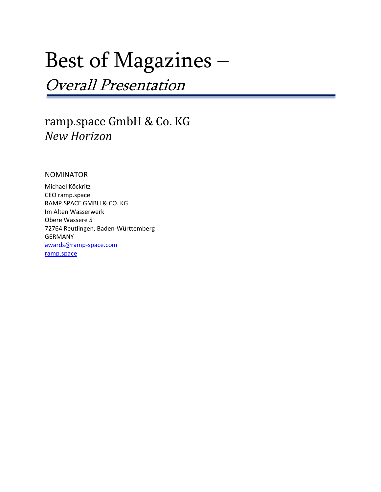# Best of Magazines –

Overall Presentation

### ramp.space GmbH & Co. KG *New Horizon*

### NOMINATOR

Michael Köckritz CEO ramp.space RAMP.SPACE GMBH & CO. KG Im Alten Wasserwerk Obere Wässere 5 72764 Reutlingen, Baden-Württemberg GERMANY [awards@ramp-space.com](mailto:awards@ramp-space.com) [ramp.space](https://ramp.space/)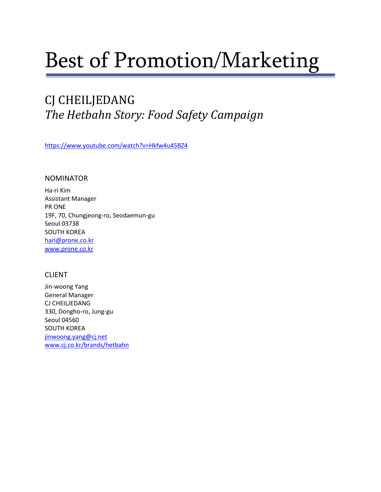# Best of Promotion/Marketing

## CJ CHEILJEDANG *The Hetbahn Story: Food Safety Campaign*

<https://www.youtube.com/watch?v=Hkfw4u45BZ4>

### NOMINATOR

Ha-ri Kim Assistant Manager PR ONE 19F, 70, Chungjeong-ro, Seodaemun-gu Seoul 03738 SOUTH KOREA [hari@prone.co.kr](mailto:hari@prone.co.kr) [www.prone.co.kr](http://www.prone.co.kr/)

### CLIENT

Jin-woong Yang General Manager CJ CHEILJEDANG 330, Dongho-ro, Jung-gu Seoul 04560 SOUTH KOREA [jinwoong.yang@cj.net](mailto:jinwoong.yang@cj.net) [www.cj.co.kr/brands/hetbahn](http://www.cj.co.kr/brands/hetbahn)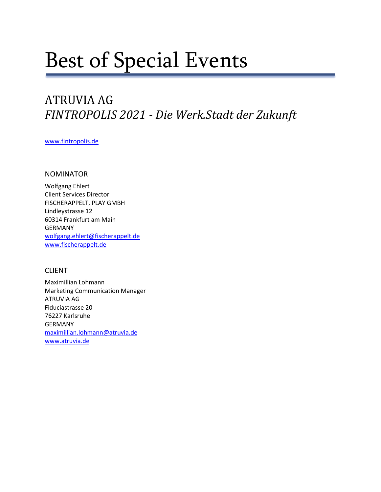# Best of Special Events

## ATRUVIA AG *FINTROPOLIS 2021 - Die Werk.Stadt der Zukunft*

[www.fintropolis.de](http://www.fintropolis.de/)

### NOMINATOR

Wolfgang Ehlert Client Services Director FISCHERAPPELT, PLAY GMBH Lindleystrasse 12 60314 Frankfurt am Main GERMANY [wolfgang.ehlert@fischerappelt.de](mailto:wolfgang.ehlert@fischerappelt.de) [www.fischerappelt.de](http://www.fischerappelt.de/)

### CLIENT

Maximillian Lohmann Marketing Communication Manager ATRUVIA AG Fiduciastrasse 20 76227 Karlsruhe GERMANY [maximillian.lohmann@atruvia.de](mailto:maximillian.lohmann@atruvia.de) [www.atruvia.de](http://www.atruvia.de/)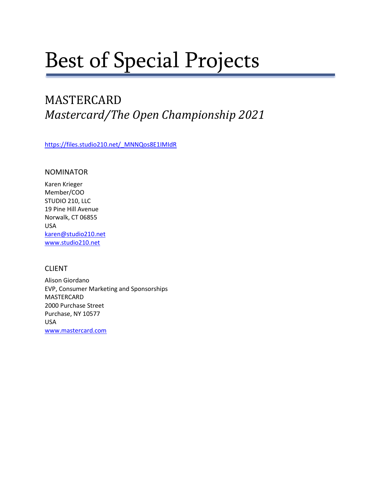# Best of Special Projects

## MASTERCARD *Mastercard/The Open Championship 2021*

[https://files.studio210.net/\\_MNNQos8E1IMIdR](https://files.studio210.net/_MNNQos8E1IMIdR)

### NOMINATOR

Karen Krieger Member/COO STUDIO 210, LLC 19 Pine Hill Avenue Norwalk, CT 06855 USA [karen@studio210.net](mailto:karen@studio210.net) [www.studio210.net](http://www.studio210.net/)

### CLIENT

Alison Giordano EVP, Consumer Marketing and Sponsorships MASTERCARD 2000 Purchase Street Purchase, NY 10577 USA [www.mastercard.com](http://www.mastercard.com/)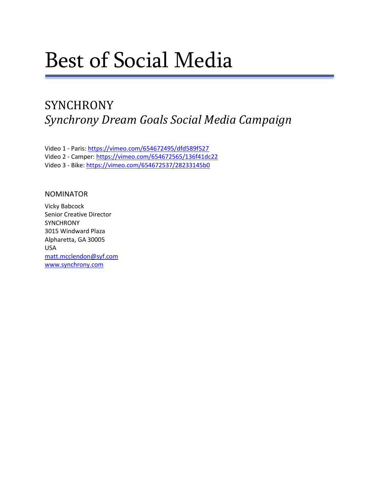# Best of Social Media

## **SYNCHRONY** *Synchrony Dream Goals Social Media Campaign*

Video 1 - Paris:<https://vimeo.com/654672495/dfd589f527> Video 2 - Camper[: https://vimeo.com/654672565/136f41dc22](https://vimeo.com/654672565/136f41dc22) Video 3 - Bike[: https://vimeo.com/654672537/28233145b0](https://vimeo.com/654672537/28233145b0)

### NOMINATOR

Vicky Babcock Senior Creative Director **SYNCHRONY** 3015 Windward Plaza Alpharetta, GA 30005 USA [matt.mcclendon@syf.com](mailto:matt.mcclendon@syf.com) [www.synchrony.com](http://www.synchrony.com/)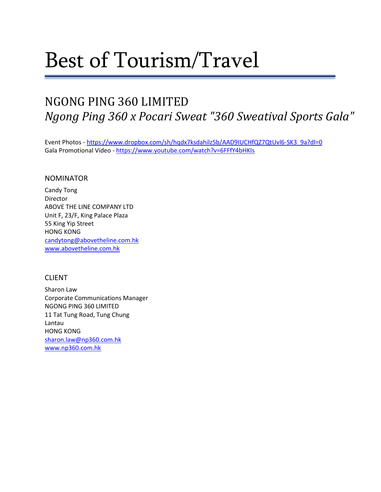# Best of Tourism/Travel

## NGONG PING 360 LIMITED *Ngong Ping 360 x Pocari Sweat "360 Sweatival Sports Gala"*

Event Photos - [https://www.dropbox.com/sh/hqdx7ksdahilz5b/AAD9IUCHfQZ7QtUvl6-SK3\\_9a?dl=0](https://www.dropbox.com/sh/hqdx7ksdahilz5b/AAD9IUCHfQZ7QtUvl6-SK3_9a?dl=0) Gala Promotional Video - <https://www.youtube.com/watch?v=6FFfY4bHKIs>

### NOMINATOR

Candy Tong Director ABOVE THE LINE COMPANY LTD Unit F, 23/F, King Palace Plaza 55 King Yip Street HONG KONG [candytong@abovetheline.com.hk](mailto:candytong@abovetheline.com.hk) [www.abovetheline.com.hk](http://www.abovetheline.com.hk/)

### CLIENT

Sharon Law Corporate Communications Manager NGONG PING 360 LIMITED 11 Tat Tung Road, Tung Chung Lantau HONG KONG [sharon.law@np360.com.hk](mailto:sharon.law@np360.com.hk) [www.np360.com.hk](http://www.np360.com.hk/)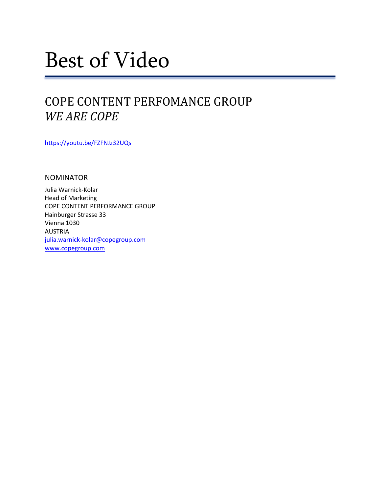# Best of Video

## COPE CONTENT PERFOMANCE GROUP *WE ARE COPE*

<https://youtu.be/FZFNJz32UQs>

NOMINATOR

Julia Warnick-Kolar Head of Marketing COPE CONTENT PERFORMANCE GROUP Hainburger Strasse 33 Vienna 1030 AUSTRIA [julia.warnick-kolar@copegroup.com](mailto:julia.warnick-kolar@copegroup.com) [www.copegroup.com](http://www.copegroup.com/)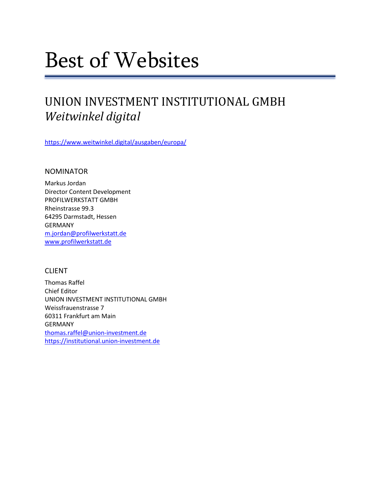# Best of Websites

## UNION INVESTMENT INSTITUTIONAL GMBH *Weitwinkel digital*

<https://www.weitwinkel.digital/ausgaben/europa/>

### NOMINATOR

Markus Jordan Director Content Development PROFILWERKSTATT GMBH Rheinstrasse 99.3 64295 Darmstadt, Hessen GERMANY [m.jordan@profilwerkstatt.de](mailto:m.jordan@profilwerkstatt.de) [www.profilwerkstatt.de](http://www.profilwerkstatt.de/)

### CLIENT

Thomas Raffel Chief Editor UNION INVESTMENT INSTITUTIONAL GMBH Weissfrauenstrasse 7 60311 Frankfurt am Main GERMANY [thomas.raffel@union-investment.de](mailto:thomas.raffel@union-investment.de) [https://institutional.union-investment.de](https://institutional.union-investment.de/)